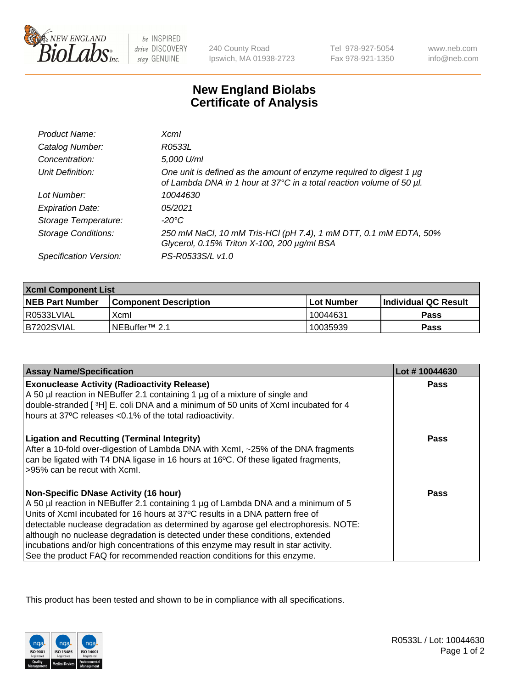

 $be$  INSPIRED drive DISCOVERY stay GENUINE

240 County Road Ipswich, MA 01938-2723 Tel 978-927-5054 Fax 978-921-1350

www.neb.com info@neb.com

## **New England Biolabs Certificate of Analysis**

| Product Name:              | Xcml                                                                                                                                             |
|----------------------------|--------------------------------------------------------------------------------------------------------------------------------------------------|
| Catalog Number:            | R0533L                                                                                                                                           |
| Concentration:             | 5,000 U/ml                                                                                                                                       |
| Unit Definition:           | One unit is defined as the amount of enzyme required to digest 1 $\mu$ g<br>of Lambda DNA in 1 hour at 37°C in a total reaction volume of 50 µl. |
| Lot Number:                | 10044630                                                                                                                                         |
| <b>Expiration Date:</b>    | 05/2021                                                                                                                                          |
| Storage Temperature:       | -20°C                                                                                                                                            |
| <b>Storage Conditions:</b> | 250 mM NaCl, 10 mM Tris-HCl (pH 7.4), 1 mM DTT, 0.1 mM EDTA, 50%<br>Glycerol, 0.15% Triton X-100, 200 µg/ml BSA                                  |
| Specification Version:     | PS-R0533S/L v1.0                                                                                                                                 |

| <b>Xcml Component List</b> |                              |                   |                       |  |
|----------------------------|------------------------------|-------------------|-----------------------|--|
| <b>NEB Part Number</b>     | <b>Component Description</b> | <b>Lot Number</b> | ∣Individual QC Result |  |
| R0533LVIAL                 | Xcml                         | 10044631          | <b>Pass</b>           |  |
| IB7202SVIAL                | NEBuffer <sup>™</sup> 2.1    | 10035939          | Pass                  |  |

| <b>Assay Name/Specification</b>                                                                                                                                                                                                                                                                                                                                                                                                                                                                                                                              | Lot #10044630 |
|--------------------------------------------------------------------------------------------------------------------------------------------------------------------------------------------------------------------------------------------------------------------------------------------------------------------------------------------------------------------------------------------------------------------------------------------------------------------------------------------------------------------------------------------------------------|---------------|
| <b>Exonuclease Activity (Radioactivity Release)</b><br>A 50 µl reaction in NEBuffer 2.1 containing 1 µg of a mixture of single and                                                                                                                                                                                                                                                                                                                                                                                                                           | Pass          |
| double-stranded [3H] E. coli DNA and a minimum of 50 units of Xcml incubated for 4<br>hours at 37°C releases <0.1% of the total radioactivity.                                                                                                                                                                                                                                                                                                                                                                                                               |               |
| <b>Ligation and Recutting (Terminal Integrity)</b><br>After a 10-fold over-digestion of Lambda DNA with Xcml, ~25% of the DNA fragments<br>can be ligated with T4 DNA ligase in 16 hours at 16°C. Of these ligated fragments,<br>>95% can be recut with Xcml.                                                                                                                                                                                                                                                                                                | <b>Pass</b>   |
| <b>Non-Specific DNase Activity (16 hour)</b><br>A 50 µl reaction in NEBuffer 2.1 containing 1 µg of Lambda DNA and a minimum of 5<br>Units of XcmI incubated for 16 hours at 37°C results in a DNA pattern free of<br>detectable nuclease degradation as determined by agarose gel electrophoresis. NOTE:<br>although no nuclease degradation is detected under these conditions, extended<br>incubations and/or high concentrations of this enzyme may result in star activity.<br>See the product FAQ for recommended reaction conditions for this enzyme. | Pass          |

This product has been tested and shown to be in compliance with all specifications.